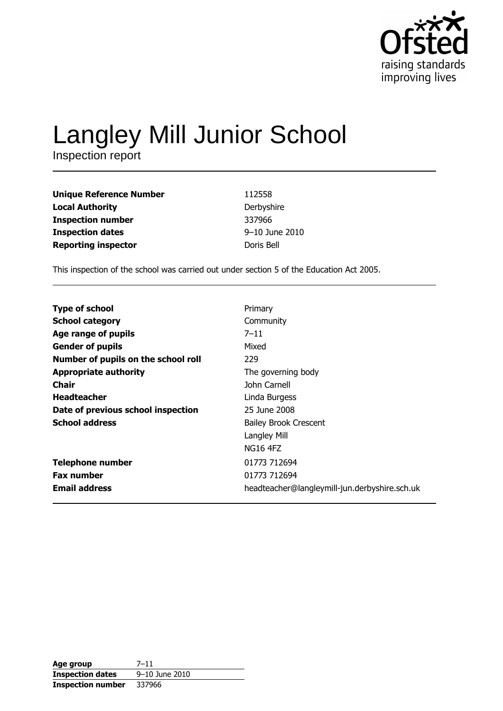

# Langley Mill Junior School

| <b>Unique Reference Number</b> | 112558         |
|--------------------------------|----------------|
| <b>Local Authority</b>         | Derbyshire     |
| <b>Inspection number</b>       | 337966         |
| <b>Inspection dates</b>        | 9-10 June 2010 |
| <b>Reporting inspector</b>     | Doris Bell     |

This inspection of the school was carried out under section 5 of the Education Act 2005.

| <b>Type of school</b>               | Primary                                       |
|-------------------------------------|-----------------------------------------------|
| <b>School category</b>              | Community                                     |
| Age range of pupils                 | $7 - 11$                                      |
| <b>Gender of pupils</b>             | Mixed                                         |
| Number of pupils on the school roll | 229                                           |
| <b>Appropriate authority</b>        | The governing body                            |
| Chair                               | John Carnell                                  |
| <b>Headteacher</b>                  | Linda Burgess                                 |
| Date of previous school inspection  | 25 June 2008                                  |
| <b>School address</b>               | <b>Bailey Brook Crescent</b>                  |
|                                     | Langley Mill                                  |
|                                     | NG16 4FZ                                      |
| <b>Telephone number</b>             | 01773 712694                                  |
| <b>Fax number</b>                   | 01773 712694                                  |
| <b>Email address</b>                | headteacher@langleymill-jun.derbyshire.sch.uk |
|                                     |                                               |

| Age group                | $7 - 11$       |
|--------------------------|----------------|
| <b>Inspection dates</b>  | 9-10 June 2010 |
| <b>Inspection number</b> | 337966         |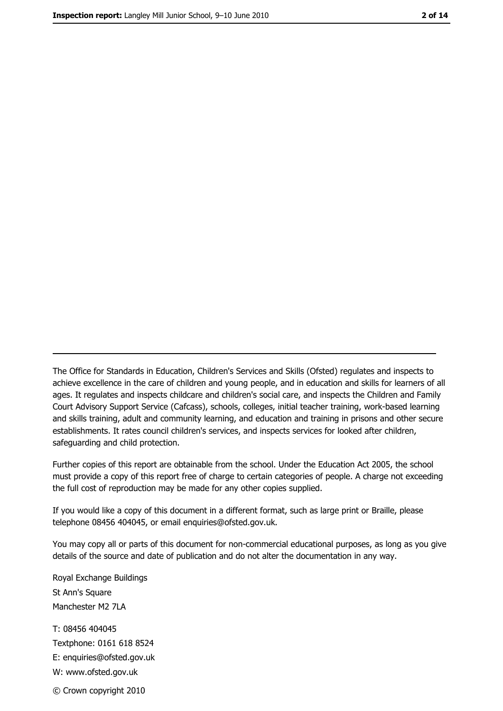The Office for Standards in Education, Children's Services and Skills (Ofsted) regulates and inspects to achieve excellence in the care of children and young people, and in education and skills for learners of all ages. It regulates and inspects childcare and children's social care, and inspects the Children and Family Court Advisory Support Service (Cafcass), schools, colleges, initial teacher training, work-based learning and skills training, adult and community learning, and education and training in prisons and other secure establishments. It rates council children's services, and inspects services for looked after children, safequarding and child protection.

Further copies of this report are obtainable from the school. Under the Education Act 2005, the school must provide a copy of this report free of charge to certain categories of people. A charge not exceeding the full cost of reproduction may be made for any other copies supplied.

If you would like a copy of this document in a different format, such as large print or Braille, please telephone 08456 404045, or email enquiries@ofsted.gov.uk.

You may copy all or parts of this document for non-commercial educational purposes, as long as you give details of the source and date of publication and do not alter the documentation in any way.

Royal Exchange Buildings St Ann's Square Manchester M2 7LA T: 08456 404045 Textphone: 0161 618 8524 E: enquiries@ofsted.gov.uk W: www.ofsted.gov.uk © Crown copyright 2010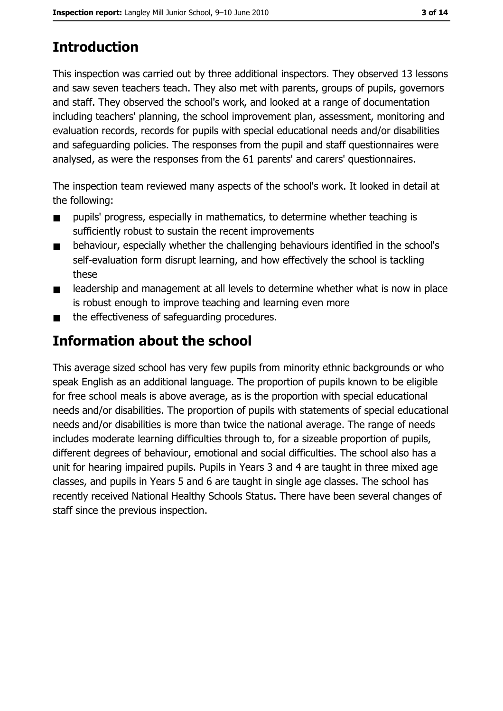## **Introduction**

This inspection was carried out by three additional inspectors. They observed 13 lessons and saw seven teachers teach. They also met with parents, groups of pupils, governors and staff. They observed the school's work, and looked at a range of documentation including teachers' planning, the school improvement plan, assessment, monitoring and evaluation records, records for pupils with special educational needs and/or disabilities and safeguarding policies. The responses from the pupil and staff questionnaires were analysed, as were the responses from the 61 parents' and carers' questionnaires.

The inspection team reviewed many aspects of the school's work. It looked in detail at the following:

- pupils' progress, especially in mathematics, to determine whether teaching is  $\blacksquare$ sufficiently robust to sustain the recent improvements
- behaviour, especially whether the challenging behaviours identified in the school's  $\blacksquare$ self-evaluation form disrupt learning, and how effectively the school is tackling these
- leadership and management at all levels to determine whether what is now in place  $\blacksquare$ is robust enough to improve teaching and learning even more
- the effectiveness of safequarding procedures.  $\blacksquare$

## Information about the school

This average sized school has very few pupils from minority ethnic backgrounds or who speak English as an additional language. The proportion of pupils known to be eligible for free school meals is above average, as is the proportion with special educational needs and/or disabilities. The proportion of pupils with statements of special educational needs and/or disabilities is more than twice the national average. The range of needs includes moderate learning difficulties through to, for a sizeable proportion of pupils, different degrees of behaviour, emotional and social difficulties. The school also has a unit for hearing impaired pupils. Pupils in Years 3 and 4 are taught in three mixed age classes, and pupils in Years 5 and 6 are taught in single age classes. The school has recently received National Healthy Schools Status. There have been several changes of staff since the previous inspection.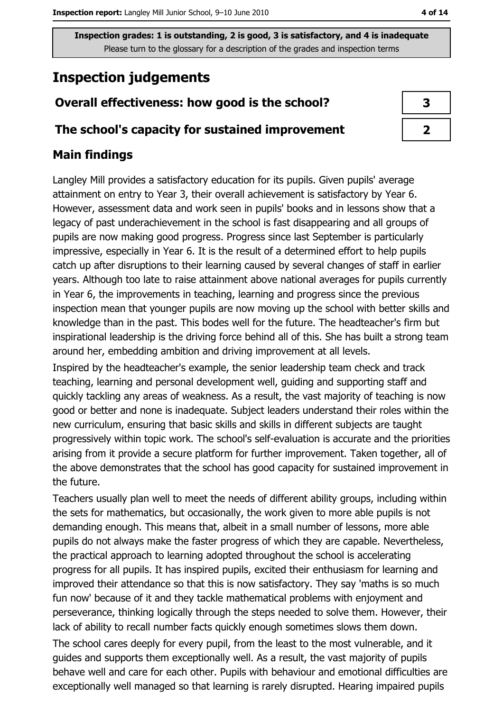Inspection grades: 1 is outstanding, 2 is good, 3 is satisfactory, and 4 is inadequate Please turn to the glossary for a description of the grades and inspection terms

## **Inspection judgements**

#### Overall effectiveness: how good is the school?

#### The school's capacity for sustained improvement

#### **Main findings**

Langley Mill provides a satisfactory education for its pupils. Given pupils' average attainment on entry to Year 3, their overall achievement is satisfactory by Year 6. However, assessment data and work seen in pupils' books and in lessons show that a legacy of past underachievement in the school is fast disappearing and all groups of pupils are now making good progress. Progress since last September is particularly impressive, especially in Year 6. It is the result of a determined effort to help pupils catch up after disruptions to their learning caused by several changes of staff in earlier years. Although too late to raise attainment above national averages for pupils currently in Year 6, the improvements in teaching, learning and progress since the previous inspection mean that younger pupils are now moving up the school with better skills and knowledge than in the past. This bodes well for the future. The headteacher's firm but inspirational leadership is the driving force behind all of this. She has built a strong team around her, embedding ambition and driving improvement at all levels.

Inspired by the headteacher's example, the senior leadership team check and track teaching, learning and personal development well, guiding and supporting staff and quickly tackling any areas of weakness. As a result, the vast majority of teaching is now good or better and none is inadequate. Subject leaders understand their roles within the new curriculum, ensuring that basic skills and skills in different subjects are taught progressively within topic work. The school's self-evaluation is accurate and the priorities arising from it provide a secure platform for further improvement. Taken together, all of the above demonstrates that the school has good capacity for sustained improvement in the future.

Teachers usually plan well to meet the needs of different ability groups, including within the sets for mathematics, but occasionally, the work given to more able pupils is not demanding enough. This means that, albeit in a small number of lessons, more able pupils do not always make the faster progress of which they are capable. Nevertheless, the practical approach to learning adopted throughout the school is accelerating progress for all pupils. It has inspired pupils, excited their enthusiasm for learning and improved their attendance so that this is now satisfactory. They say 'maths is so much fun now' because of it and they tackle mathematical problems with enjoyment and perseverance, thinking logically through the steps needed to solve them. However, their lack of ability to recall number facts quickly enough sometimes slows them down.

The school cares deeply for every pupil, from the least to the most vulnerable, and it guides and supports them exceptionally well. As a result, the vast majority of pupils behave well and care for each other. Pupils with behaviour and emotional difficulties are exceptionally well managed so that learning is rarely disrupted. Hearing impaired pupils

| 3 |  |
|---|--|
| フ |  |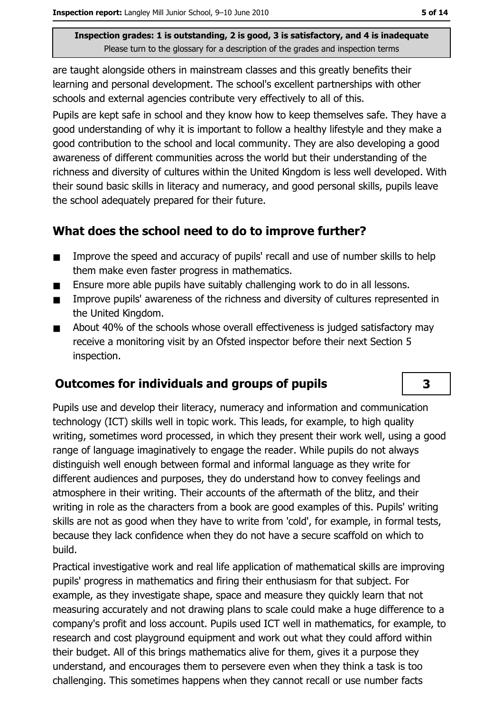Inspection grades: 1 is outstanding, 2 is good, 3 is satisfactory, and 4 is inadequate Please turn to the glossary for a description of the grades and inspection terms

are taught alongside others in mainstream classes and this greatly benefits their learning and personal development. The school's excellent partnerships with other schools and external agencies contribute very effectively to all of this.

Pupils are kept safe in school and they know how to keep themselves safe. They have a good understanding of why it is important to follow a healthy lifestyle and they make a aood contribution to the school and local community. They are also developing a good awareness of different communities across the world but their understanding of the richness and diversity of cultures within the United Kingdom is less well developed. With their sound basic skills in literacy and numeracy, and good personal skills, pupils leave the school adequately prepared for their future.

#### What does the school need to do to improve further?

- Improve the speed and accuracy of pupils' recall and use of number skills to help  $\blacksquare$ them make even faster progress in mathematics.
- Ensure more able pupils have suitably challenging work to do in all lessons.  $\blacksquare$
- Improve pupils' awareness of the richness and diversity of cultures represented in  $\blacksquare$ the United Kingdom.
- About 40% of the schools whose overall effectiveness is judged satisfactory may  $\blacksquare$ receive a monitoring visit by an Ofsted inspector before their next Section 5 inspection.

#### **Outcomes for individuals and groups of pupils**

Pupils use and develop their literacy, numeracy and information and communication technology (ICT) skills well in topic work. This leads, for example, to high quality writing, sometimes word processed, in which they present their work well, using a good range of language imaginatively to engage the reader. While pupils do not always distinguish well enough between formal and informal language as they write for different audiences and purposes, they do understand how to convey feelings and atmosphere in their writing. Their accounts of the aftermath of the blitz, and their writing in role as the characters from a book are good examples of this. Pupils' writing skills are not as good when they have to write from 'cold', for example, in formal tests, because they lack confidence when they do not have a secure scaffold on which to build.

Practical investigative work and real life application of mathematical skills are improving pupils' progress in mathematics and firing their enthusiasm for that subject. For example, as they investigate shape, space and measure they quickly learn that not measuring accurately and not drawing plans to scale could make a huge difference to a company's profit and loss account. Pupils used ICT well in mathematics, for example, to research and cost playground equipment and work out what they could afford within their budget. All of this brings mathematics alive for them, gives it a purpose they understand, and encourages them to persevere even when they think a task is too challenging. This sometimes happens when they cannot recall or use number facts

3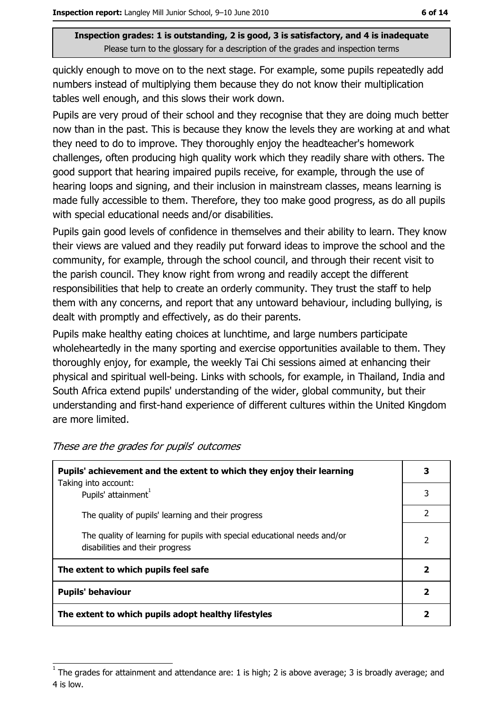Inspection grades: 1 is outstanding, 2 is good, 3 is satisfactory, and 4 is inadequate Please turn to the glossary for a description of the grades and inspection terms

quickly enough to move on to the next stage. For example, some pupils repeatedly add numbers instead of multiplying them because they do not know their multiplication tables well enough, and this slows their work down.

Pupils are very proud of their school and they recognise that they are doing much better now than in the past. This is because they know the levels they are working at and what they need to do to improve. They thoroughly enjoy the headteacher's homework challenges, often producing high quality work which they readily share with others. The good support that hearing impaired pupils receive, for example, through the use of hearing loops and signing, and their inclusion in mainstream classes, means learning is made fully accessible to them. Therefore, they too make good progress, as do all pupils with special educational needs and/or disabilities.

Pupils gain good levels of confidence in themselves and their ability to learn. They know their views are valued and they readily put forward ideas to improve the school and the community, for example, through the school council, and through their recent visit to the parish council. They know right from wrong and readily accept the different responsibilities that help to create an orderly community. They trust the staff to help them with any concerns, and report that any untoward behaviour, including bullying, is dealt with promptly and effectively, as do their parents.

Pupils make healthy eating choices at lunchtime, and large numbers participate wholeheartedly in the many sporting and exercise opportunities available to them. They thoroughly enjoy, for example, the weekly Tai Chi sessions aimed at enhancing their physical and spiritual well-being. Links with schools, for example, in Thailand, India and South Africa extend pupils' understanding of the wider, global community, but their understanding and first-hand experience of different cultures within the United Kingdom are more limited.

| Pupils' achievement and the extent to which they enjoy their learning<br>Taking into account:               |   |
|-------------------------------------------------------------------------------------------------------------|---|
| Pupils' attainment <sup>1</sup>                                                                             | 3 |
| The quality of pupils' learning and their progress                                                          | 2 |
| The quality of learning for pupils with special educational needs and/or<br>disabilities and their progress | 2 |
| The extent to which pupils feel safe                                                                        |   |
| <b>Pupils' behaviour</b>                                                                                    |   |
| The extent to which pupils adopt healthy lifestyles                                                         |   |

These are the grades for pupils' outcomes

The grades for attainment and attendance are: 1 is high; 2 is above average; 3 is broadly average; and 4 is low.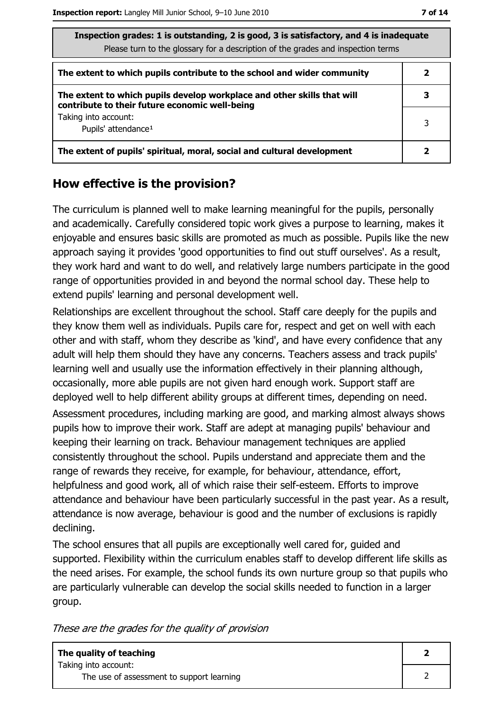| Inspection grades: 1 is outstanding, 2 is good, 3 is satisfactory, and 4 is inadequate<br>Please turn to the glossary for a description of the grades and inspection terms |   |
|----------------------------------------------------------------------------------------------------------------------------------------------------------------------------|---|
| The extent to which pupils contribute to the school and wider community                                                                                                    |   |
| The extent to which pupils develop workplace and other skills that will<br>contribute to their future economic well-being                                                  |   |
| Taking into account:<br>Pupils' attendance <sup>1</sup>                                                                                                                    | 3 |
| The extent of pupils' spiritual, moral, social and cultural development                                                                                                    |   |

#### How effective is the provision?

The curriculum is planned well to make learning meaningful for the pupils, personally and academically. Carefully considered topic work gives a purpose to learning, makes it enjoyable and ensures basic skills are promoted as much as possible. Pupils like the new approach saying it provides 'good opportunities to find out stuff ourselves'. As a result, they work hard and want to do well, and relatively large numbers participate in the good range of opportunities provided in and beyond the normal school day. These help to extend pupils' learning and personal development well.

Relationships are excellent throughout the school. Staff care deeply for the pupils and they know them well as individuals. Pupils care for, respect and get on well with each other and with staff, whom they describe as 'kind', and have every confidence that any adult will help them should they have any concerns. Teachers assess and track pupils' learning well and usually use the information effectively in their planning although, occasionally, more able pupils are not given hard enough work. Support staff are deployed well to help different ability groups at different times, depending on need. Assessment procedures, including marking are good, and marking almost always shows pupils how to improve their work. Staff are adept at managing pupils' behaviour and keeping their learning on track. Behaviour management techniques are applied consistently throughout the school. Pupils understand and appreciate them and the range of rewards they receive, for example, for behaviour, attendance, effort, helpfulness and good work, all of which raise their self-esteem. Efforts to improve attendance and behaviour have been particularly successful in the past year. As a result, attendance is now average, behaviour is good and the number of exclusions is rapidly declining.

The school ensures that all pupils are exceptionally well cared for, guided and supported. Flexibility within the curriculum enables staff to develop different life skills as the need arises. For example, the school funds its own nurture group so that pupils who are particularly vulnerable can develop the social skills needed to function in a larger group.

These are the grades for the quality of provision

| The quality of teaching                                           |  |
|-------------------------------------------------------------------|--|
| Taking into account:<br>The use of assessment to support learning |  |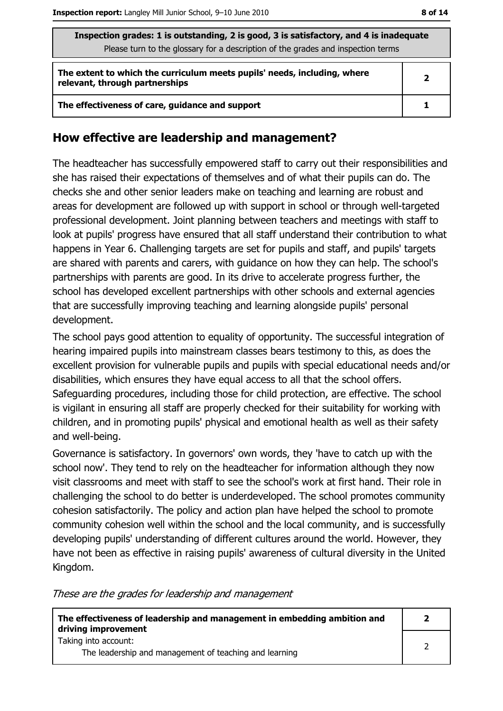| Inspection grades: 1 is outstanding, 2 is good, 3 is satisfactory, and 4 is inadequate<br>Please turn to the glossary for a description of the grades and inspection terms |              |  |
|----------------------------------------------------------------------------------------------------------------------------------------------------------------------------|--------------|--|
| The extent to which the curriculum meets pupils' needs, including, where<br>relevant, through partnerships                                                                 | $\mathbf{2}$ |  |
| The effectiveness of care, guidance and support                                                                                                                            |              |  |

#### How effective are leadership and management?

The headteacher has successfully empowered staff to carry out their responsibilities and she has raised their expectations of themselves and of what their pupils can do. The checks she and other senior leaders make on teaching and learning are robust and areas for development are followed up with support in school or through well-targeted professional development. Joint planning between teachers and meetings with staff to look at pupils' progress have ensured that all staff understand their contribution to what happens in Year 6. Challenging targets are set for pupils and staff, and pupils' targets are shared with parents and carers, with guidance on how they can help. The school's partnerships with parents are good. In its drive to accelerate progress further, the school has developed excellent partnerships with other schools and external agencies that are successfully improving teaching and learning alongside pupils' personal development.

The school pays good attention to equality of opportunity. The successful integration of hearing impaired pupils into mainstream classes bears testimony to this, as does the excellent provision for vulnerable pupils and pupils with special educational needs and/or disabilities, which ensures they have equal access to all that the school offers. Safeguarding procedures, including those for child protection, are effective. The school is vigilant in ensuring all staff are properly checked for their suitability for working with children, and in promoting pupils' physical and emotional health as well as their safety and well-being.

Governance is satisfactory. In governors' own words, they 'have to catch up with the school now'. They tend to rely on the headteacher for information although they now visit classrooms and meet with staff to see the school's work at first hand. Their role in challenging the school to do better is underdeveloped. The school promotes community cohesion satisfactorily. The policy and action plan have helped the school to promote community cohesion well within the school and the local community, and is successfully developing pupils' understanding of different cultures around the world. However, they have not been as effective in raising pupils' awareness of cultural diversity in the United Kingdom.

These are the grades for leadership and management

| The effectiveness of leadership and management in embedding ambition and<br>driving improvement |  |
|-------------------------------------------------------------------------------------------------|--|
| Taking into account:<br>The leadership and management of teaching and learning                  |  |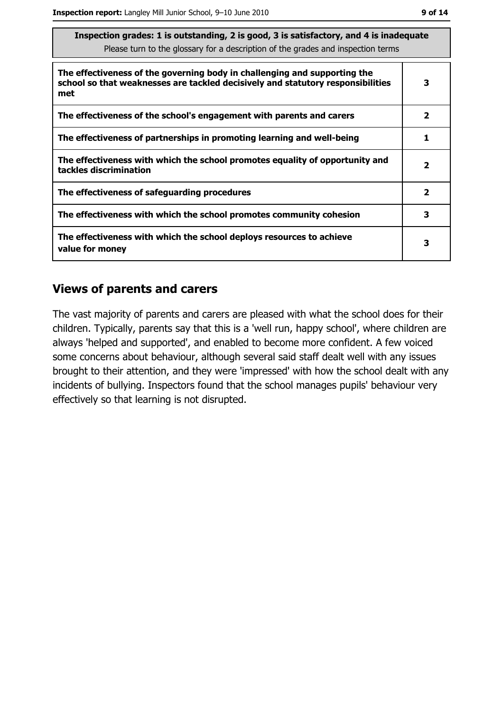| Inspection grades: I is outstanding, 2 is good, 5 is satisfactory, and 4 is inadequate<br>Please turn to the glossary for a description of the grades and inspection terms |                         |  |
|----------------------------------------------------------------------------------------------------------------------------------------------------------------------------|-------------------------|--|
| The effectiveness of the governing body in challenging and supporting the<br>school so that weaknesses are tackled decisively and statutory responsibilities<br>met        | 3                       |  |
| The effectiveness of the school's engagement with parents and carers                                                                                                       | $\overline{\mathbf{2}}$ |  |
| The effectiveness of partnerships in promoting learning and well-being                                                                                                     | 1                       |  |
| The effectiveness with which the school promotes equality of opportunity and<br>tackles discrimination                                                                     | $\mathbf{2}$            |  |
| The effectiveness of safeguarding procedures                                                                                                                               | $\overline{\mathbf{2}}$ |  |
| The effectiveness with which the school promotes community cohesion                                                                                                        | 3                       |  |
| The effectiveness with which the school deploys resources to achieve<br>value for money                                                                                    | з                       |  |

 $\overline{\phantom{a}}$ .

#### **Views of parents and carers**

The vast majority of parents and carers are pleased with what the school does for their children. Typically, parents say that this is a 'well run, happy school', where children are always 'helped and supported', and enabled to become more confident. A few voiced some concerns about behaviour, although several said staff dealt well with any issues brought to their attention, and they were 'impressed' with how the school dealt with any incidents of bullying. Inspectors found that the school manages pupils' behaviour very effectively so that learning is not disrupted.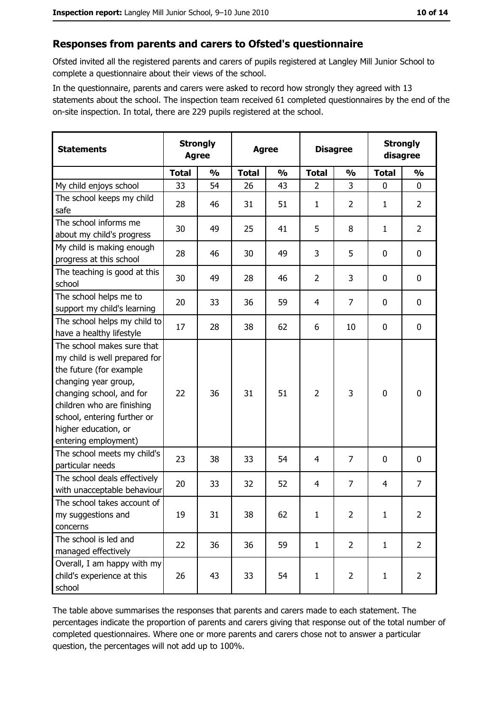#### Responses from parents and carers to Ofsted's questionnaire

Ofsted invited all the registered parents and carers of pupils registered at Langley Mill Junior School to complete a questionnaire about their views of the school.

In the questionnaire, parents and carers were asked to record how strongly they agreed with 13 statements about the school. The inspection team received 61 completed questionnaires by the end of the on-site inspection. In total, there are 229 pupils registered at the school.

| <b>Statements</b>                                                                                                                                                                                                                                       | <b>Strongly</b><br><b>Agree</b> |               | <b>Agree</b> |               |                | <b>Disagree</b> |              | <b>Strongly</b><br>disagree |
|---------------------------------------------------------------------------------------------------------------------------------------------------------------------------------------------------------------------------------------------------------|---------------------------------|---------------|--------------|---------------|----------------|-----------------|--------------|-----------------------------|
|                                                                                                                                                                                                                                                         | <b>Total</b>                    | $\frac{0}{0}$ | <b>Total</b> | $\frac{0}{0}$ | <b>Total</b>   | $\frac{1}{2}$   | <b>Total</b> | $\frac{0}{0}$               |
| My child enjoys school                                                                                                                                                                                                                                  | 33                              | 54            | 26           | 43            | $\overline{2}$ | 3               | $\mathbf{0}$ | 0                           |
| The school keeps my child<br>safe                                                                                                                                                                                                                       | 28                              | 46            | 31           | 51            | $\mathbf{1}$   | 2               | 1            | $\overline{2}$              |
| The school informs me<br>about my child's progress                                                                                                                                                                                                      | 30                              | 49            | 25           | 41            | 5              | 8               | $\mathbf{1}$ | $\overline{2}$              |
| My child is making enough<br>progress at this school                                                                                                                                                                                                    | 28                              | 46            | 30           | 49            | 3              | 5               | 0            | 0                           |
| The teaching is good at this<br>school                                                                                                                                                                                                                  | 30                              | 49            | 28           | 46            | $\overline{2}$ | 3               | $\mathbf 0$  | 0                           |
| The school helps me to<br>support my child's learning                                                                                                                                                                                                   | 20                              | 33            | 36           | 59            | 4              | 7               | 0            | 0                           |
| The school helps my child to<br>have a healthy lifestyle                                                                                                                                                                                                | 17                              | 28            | 38           | 62            | 6              | 10              | 0            | 0                           |
| The school makes sure that<br>my child is well prepared for<br>the future (for example<br>changing year group,<br>changing school, and for<br>children who are finishing<br>school, entering further or<br>higher education, or<br>entering employment) | 22                              | 36            | 31           | 51            | $\overline{2}$ | 3               | $\mathbf 0$  | 0                           |
| The school meets my child's<br>particular needs                                                                                                                                                                                                         | 23                              | 38            | 33           | 54            | 4              | 7               | 0            | 0                           |
| The school deals effectively<br>with unacceptable behaviour                                                                                                                                                                                             | 20                              | 33            | 32           | 52            | $\overline{4}$ | $\overline{7}$  | 4            | 7                           |
| The school takes account of<br>my suggestions and<br>concerns                                                                                                                                                                                           | 19                              | 31            | 38           | 62            | $\mathbf{1}$   | 2               | $\mathbf{1}$ | $\overline{2}$              |
| The school is led and<br>managed effectively                                                                                                                                                                                                            | 22                              | 36            | 36           | 59            | $\mathbf{1}$   | $\overline{2}$  | $\mathbf{1}$ | $\overline{2}$              |
| Overall, I am happy with my<br>child's experience at this<br>school                                                                                                                                                                                     | 26                              | 43            | 33           | 54            | $\mathbf{1}$   | $\overline{2}$  | $\mathbf{1}$ | $\overline{2}$              |

The table above summarises the responses that parents and carers made to each statement. The percentages indicate the proportion of parents and carers giving that response out of the total number of completed questionnaires. Where one or more parents and carers chose not to answer a particular question, the percentages will not add up to 100%.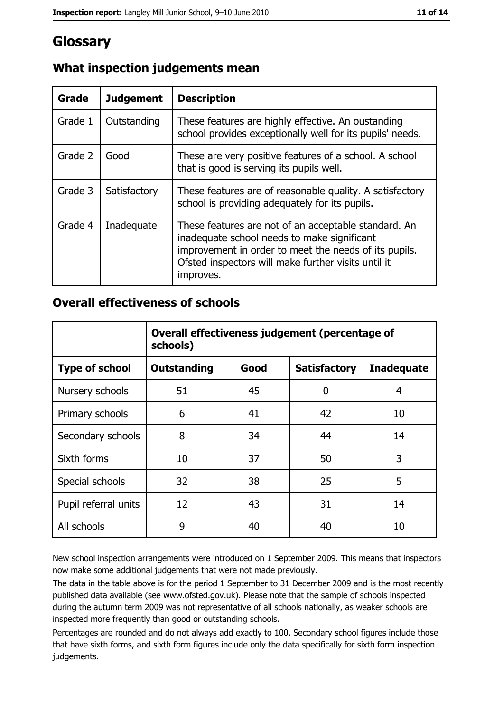# Glossary

| Grade   | <b>Judgement</b> | <b>Description</b>                                                                                                                                                                                                               |
|---------|------------------|----------------------------------------------------------------------------------------------------------------------------------------------------------------------------------------------------------------------------------|
| Grade 1 | Outstanding      | These features are highly effective. An oustanding<br>school provides exceptionally well for its pupils' needs.                                                                                                                  |
| Grade 2 | Good             | These are very positive features of a school. A school<br>that is good is serving its pupils well.                                                                                                                               |
| Grade 3 | Satisfactory     | These features are of reasonable quality. A satisfactory<br>school is providing adequately for its pupils.                                                                                                                       |
| Grade 4 | Inadequate       | These features are not of an acceptable standard. An<br>inadequate school needs to make significant<br>improvement in order to meet the needs of its pupils.<br>Ofsted inspectors will make further visits until it<br>improves. |

#### What inspection judgements mean

#### **Overall effectiveness of schools**

|                       | Overall effectiveness judgement (percentage of<br>schools) |      |                     |                   |
|-----------------------|------------------------------------------------------------|------|---------------------|-------------------|
| <b>Type of school</b> | <b>Outstanding</b>                                         | Good | <b>Satisfactory</b> | <b>Inadequate</b> |
| Nursery schools       | 51                                                         | 45   | 0                   | 4                 |
| Primary schools       | 6                                                          | 41   | 42                  | 10                |
| Secondary schools     | 8                                                          | 34   | 44                  | 14                |
| Sixth forms           | 10                                                         | 37   | 50                  | 3                 |
| Special schools       | 32                                                         | 38   | 25                  | 5                 |
| Pupil referral units  | 12                                                         | 43   | 31                  | 14                |
| All schools           | 9                                                          | 40   | 40                  | 10                |

New school inspection arrangements were introduced on 1 September 2009. This means that inspectors now make some additional judgements that were not made previously.

The data in the table above is for the period 1 September to 31 December 2009 and is the most recently published data available (see www.ofsted.gov.uk). Please note that the sample of schools inspected during the autumn term 2009 was not representative of all schools nationally, as weaker schools are inspected more frequently than good or outstanding schools.

Percentages are rounded and do not always add exactly to 100. Secondary school figures include those that have sixth forms, and sixth form figures include only the data specifically for sixth form inspection judgements.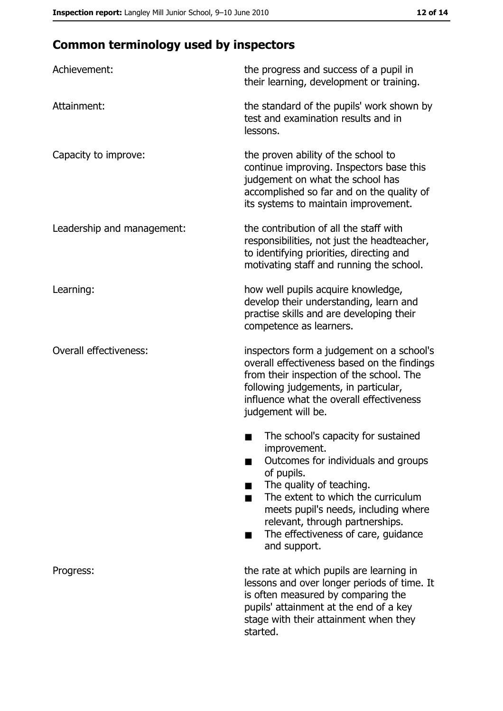## **Common terminology used by inspectors**

| Achievement:                  | the progress and success of a pupil in<br>their learning, development or training.                                                                                                                                                                                                                           |  |  |
|-------------------------------|--------------------------------------------------------------------------------------------------------------------------------------------------------------------------------------------------------------------------------------------------------------------------------------------------------------|--|--|
| Attainment:                   | the standard of the pupils' work shown by<br>test and examination results and in<br>lessons.                                                                                                                                                                                                                 |  |  |
| Capacity to improve:          | the proven ability of the school to<br>continue improving. Inspectors base this<br>judgement on what the school has<br>accomplished so far and on the quality of<br>its systems to maintain improvement.                                                                                                     |  |  |
| Leadership and management:    | the contribution of all the staff with<br>responsibilities, not just the headteacher,<br>to identifying priorities, directing and<br>motivating staff and running the school.                                                                                                                                |  |  |
| Learning:                     | how well pupils acquire knowledge,<br>develop their understanding, learn and<br>practise skills and are developing their<br>competence as learners.                                                                                                                                                          |  |  |
| <b>Overall effectiveness:</b> | inspectors form a judgement on a school's<br>overall effectiveness based on the findings<br>from their inspection of the school. The<br>following judgements, in particular,<br>influence what the overall effectiveness<br>judgement will be.                                                               |  |  |
|                               | The school's capacity for sustained<br>improvement.<br>Outcomes for individuals and groups<br>of pupils.<br>The quality of teaching.<br>The extent to which the curriculum<br>meets pupil's needs, including where<br>relevant, through partnerships.<br>The effectiveness of care, guidance<br>and support. |  |  |
| Progress:                     | the rate at which pupils are learning in<br>lessons and over longer periods of time. It<br>is often measured by comparing the<br>pupils' attainment at the end of a key<br>stage with their attainment when they<br>started.                                                                                 |  |  |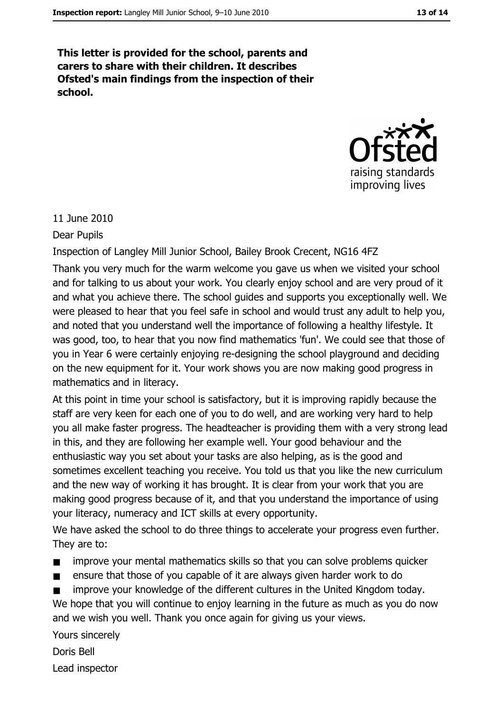This letter is provided for the school, parents and carers to share with their children. It describes Ofsted's main findings from the inspection of their school.



11 June 2010

**Dear Pupils** 

Inspection of Langley Mill Junior School, Bailey Brook Crecent, NG16 4FZ

Thank you very much for the warm welcome you gave us when we visited your school and for talking to us about your work. You clearly enjoy school and are very proud of it and what you achieve there. The school guides and supports you exceptionally well. We were pleased to hear that you feel safe in school and would trust any adult to help you, and noted that you understand well the importance of following a healthy lifestyle. It was good, too, to hear that you now find mathematics 'fun'. We could see that those of you in Year 6 were certainly enjoying re-designing the school playground and deciding on the new equipment for it. Your work shows you are now making good progress in mathematics and in literacy.

At this point in time your school is satisfactory, but it is improving rapidly because the staff are very keen for each one of you to do well, and are working very hard to help you all make faster progress. The headteacher is providing them with a very strong lead in this, and they are following her example well. Your good behaviour and the enthusiastic way you set about your tasks are also helping, as is the good and sometimes excellent teaching you receive. You told us that you like the new curriculum and the new way of working it has brought. It is clear from your work that you are making good progress because of it, and that you understand the importance of using your literacy, numeracy and ICT skills at every opportunity.

We have asked the school to do three things to accelerate your progress even further. They are to:

- improve your mental mathematics skills so that you can solve problems quicker  $\blacksquare$
- ensure that those of you capable of it are always given harder work to do  $\blacksquare$
- improve your knowledge of the different cultures in the United Kingdom today.

We hope that you will continue to enjoy learning in the future as much as you do now and we wish you well. Thank you once again for giving us your views.

Yours sincerely

Doris Bell Lead inspector